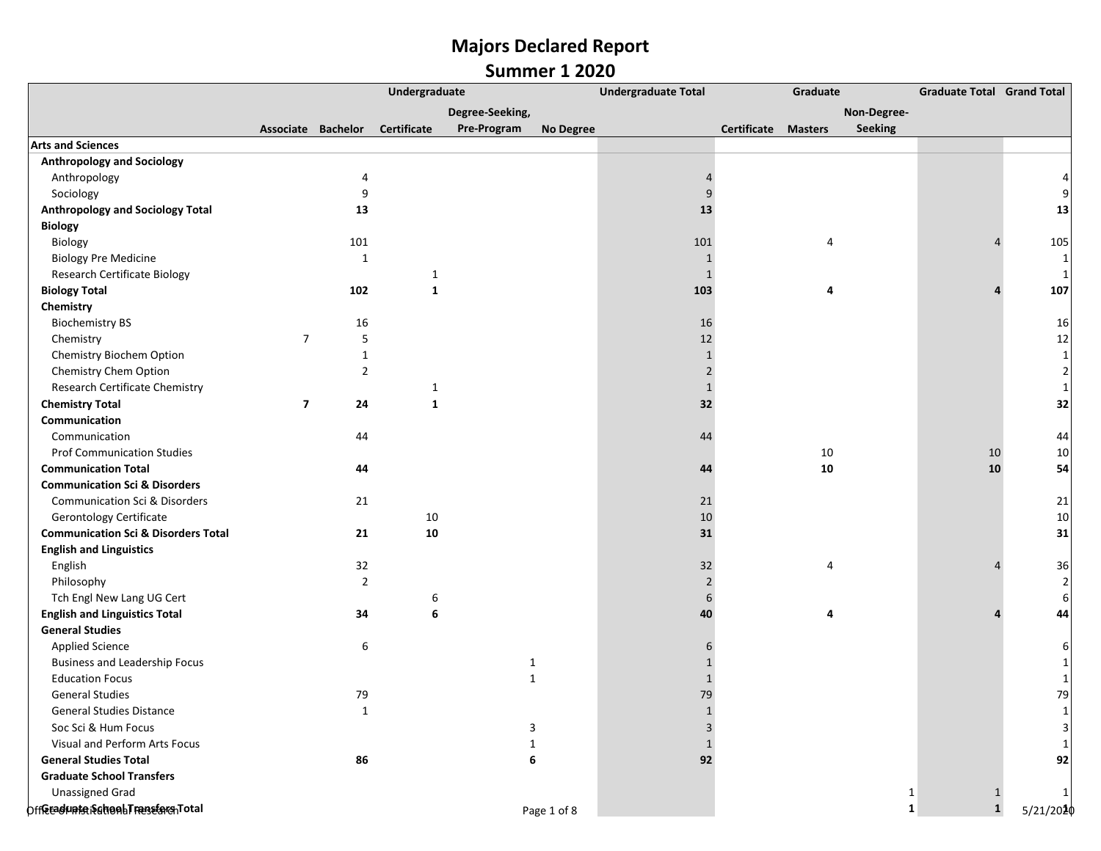|                                                | Undergraduate  |                    |                    | <b>Undergraduate Total</b> | Graduate         |                |             | <b>Graduate Total Grand Total</b> |                |              |                |
|------------------------------------------------|----------------|--------------------|--------------------|----------------------------|------------------|----------------|-------------|-----------------------------------|----------------|--------------|----------------|
|                                                |                |                    |                    | Degree-Seeking,            |                  |                |             |                                   | Non-Degree-    |              |                |
|                                                |                | Associate Bachelor | <b>Certificate</b> | Pre-Program                | <b>No Degree</b> |                | Certificate | <b>Masters</b>                    | <b>Seeking</b> |              |                |
| <b>Arts and Sciences</b>                       |                |                    |                    |                            |                  |                |             |                                   |                |              |                |
| <b>Anthropology and Sociology</b>              |                |                    |                    |                            |                  |                |             |                                   |                |              |                |
| Anthropology                                   |                |                    |                    |                            |                  |                |             |                                   |                |              |                |
| Sociology                                      |                | 9                  |                    |                            |                  | 9              |             |                                   |                |              |                |
| <b>Anthropology and Sociology Total</b>        |                | 13                 |                    |                            |                  | 13             |             |                                   |                |              | 13             |
| <b>Biology</b>                                 |                |                    |                    |                            |                  |                |             |                                   |                |              |                |
| Biology                                        |                | 101                |                    |                            |                  | 101            |             | 4                                 |                |              | 105            |
| <b>Biology Pre Medicine</b>                    |                | 1                  |                    |                            |                  | 1              |             |                                   |                |              | 1              |
| Research Certificate Biology                   |                |                    | $\mathbf{1}$       |                            |                  | $\mathbf{1}$   |             |                                   |                |              | $\mathbf{1}$   |
| <b>Biology Total</b>                           |                | 102                | $\mathbf{1}$       |                            |                  | 103            |             | 4                                 |                |              | 107            |
| Chemistry                                      |                |                    |                    |                            |                  |                |             |                                   |                |              |                |
| <b>Biochemistry BS</b>                         |                | 16                 |                    |                            |                  | 16             |             |                                   |                |              | 16             |
| Chemistry                                      | $\overline{7}$ | 5                  |                    |                            |                  | 12             |             |                                   |                |              | 12             |
| Chemistry Biochem Option                       |                | $\mathbf{1}$       |                    |                            |                  | $\mathbf{1}$   |             |                                   |                |              | $1\vert$       |
| Chemistry Chem Option                          |                | $\overline{2}$     |                    |                            |                  | 2              |             |                                   |                |              | $\overline{2}$ |
| Research Certificate Chemistry                 |                |                    | 1                  |                            |                  | $\mathbf{1}$   |             |                                   |                |              | $\mathbf{1}$   |
| <b>Chemistry Total</b>                         | $\overline{7}$ | 24                 | $\mathbf{1}$       |                            |                  | 32             |             |                                   |                |              | 32             |
| Communication                                  |                |                    |                    |                            |                  |                |             |                                   |                |              |                |
| Communication                                  |                | 44                 |                    |                            |                  | 44             |             |                                   |                |              | 44             |
| <b>Prof Communication Studies</b>              |                |                    |                    |                            |                  |                |             | 10                                |                | 10           | 10             |
| <b>Communication Total</b>                     |                | 44                 |                    |                            |                  | 44             |             | 10                                |                | 10           | 54             |
| <b>Communication Sci &amp; Disorders</b>       |                |                    |                    |                            |                  |                |             |                                   |                |              |                |
| <b>Communication Sci &amp; Disorders</b>       |                | 21                 |                    |                            |                  | 21             |             |                                   |                |              | 21             |
| <b>Gerontology Certificate</b>                 |                |                    | 10                 |                            |                  | 10             |             |                                   |                |              | 10             |
| <b>Communication Sci &amp; Disorders Total</b> |                | 21                 | 10                 |                            |                  | 31             |             |                                   |                |              | 31             |
| <b>English and Linguistics</b>                 |                |                    |                    |                            |                  |                |             |                                   |                |              |                |
| English                                        |                | 32                 |                    |                            |                  | 32             |             | 4                                 |                |              | 36             |
| Philosophy                                     |                | $\overline{2}$     |                    |                            |                  | $\overline{2}$ |             |                                   |                |              | $\overline{2}$ |
| Tch Engl New Lang UG Cert                      |                |                    | 6                  |                            |                  | 6              |             |                                   |                |              | 6              |
| <b>English and Linguistics Total</b>           |                | 34                 | 6                  |                            |                  | 40             |             | 4                                 |                |              | 44             |
| <b>General Studies</b>                         |                |                    |                    |                            |                  |                |             |                                   |                |              |                |
| <b>Applied Science</b>                         |                | 6                  |                    |                            |                  |                |             |                                   |                |              |                |
| <b>Business and Leadership Focus</b>           |                |                    |                    | 1                          |                  | 1              |             |                                   |                |              |                |
| <b>Education Focus</b>                         |                |                    |                    | $\mathbf{1}$               |                  | $\mathbf 1$    |             |                                   |                |              |                |
| <b>General Studies</b>                         |                | 79                 |                    |                            |                  | 79             |             |                                   |                |              | 79             |
| <b>General Studies Distance</b>                |                | $\mathbf{1}$       |                    |                            |                  | $\mathbf{1}$   |             |                                   |                |              | 1              |
| Soc Sci & Hum Focus                            |                |                    |                    | 3                          |                  | 3              |             |                                   |                |              | $\overline{3}$ |
| Visual and Perform Arts Focus                  |                |                    |                    | $\mathbf{1}$               |                  | $\mathbf{1}$   |             |                                   |                |              |                |
| <b>General Studies Total</b>                   |                | 86                 |                    | 6                          |                  | 92             |             |                                   |                |              | 92             |
| <b>Graduate School Transfers</b>               |                |                    |                    |                            |                  |                |             |                                   |                |              |                |
| <b>Unassigned Grad</b>                         |                |                    |                    |                            |                  |                |             |                                   | -1             | 1            |                |
| Offerschunte SchonbTransfarchTotal             |                |                    |                    |                            | Page 1 of 8      |                |             |                                   | 1              | $\mathbf{1}$ | 5/21/2020      |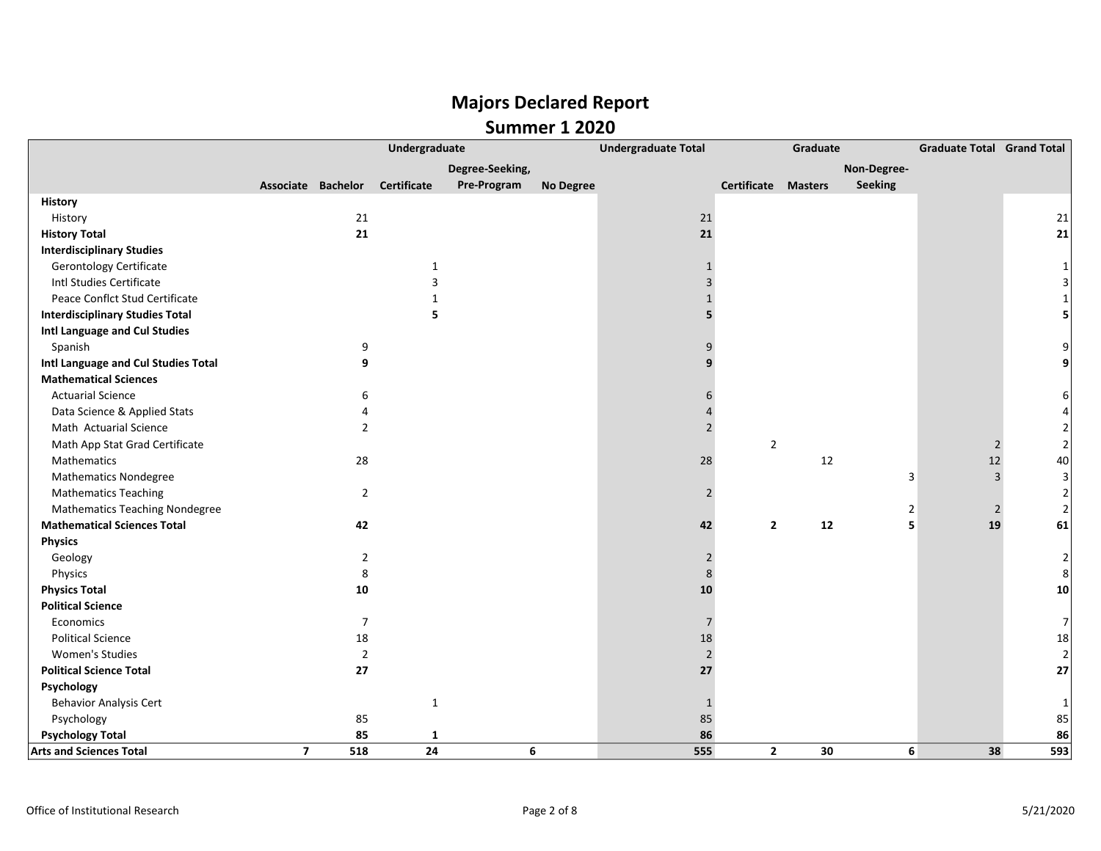|                                        |                         |                | Undergraduate                  |                 |           | <b>Undergraduate Total</b> |                            | Graduate |             | <b>Graduate Total Grand Total</b> |                |
|----------------------------------------|-------------------------|----------------|--------------------------------|-----------------|-----------|----------------------------|----------------------------|----------|-------------|-----------------------------------|----------------|
|                                        |                         |                |                                | Degree-Seeking, |           |                            |                            |          | Non-Degree- |                                   |                |
|                                        |                         |                | Associate Bachelor Certificate | Pre-Program     | No Degree |                            | <b>Certificate Masters</b> |          | Seeking     |                                   |                |
| <b>History</b>                         |                         |                |                                |                 |           |                            |                            |          |             |                                   |                |
| History                                |                         | 21             |                                |                 |           | 21                         |                            |          |             |                                   | 21             |
| <b>History Total</b>                   |                         | 21             |                                |                 |           | 21                         |                            |          |             |                                   | 21             |
| <b>Interdisciplinary Studies</b>       |                         |                |                                |                 |           |                            |                            |          |             |                                   |                |
| <b>Gerontology Certificate</b>         |                         |                | $\mathbf{1}$                   |                 |           | $\mathbf{1}$               |                            |          |             |                                   |                |
| Intl Studies Certificate               |                         |                | 3                              |                 |           | 3                          |                            |          |             |                                   |                |
| Peace Conflct Stud Certificate         |                         |                | 1                              |                 |           | $\mathbf{1}$               |                            |          |             |                                   |                |
| <b>Interdisciplinary Studies Total</b> |                         |                | 5                              |                 |           |                            |                            |          |             |                                   |                |
| Intl Language and Cul Studies          |                         |                |                                |                 |           |                            |                            |          |             |                                   |                |
| Spanish                                |                         | 9              |                                |                 |           | 9                          |                            |          |             |                                   |                |
| Intl Language and Cul Studies Total    |                         | 9              |                                |                 |           |                            |                            |          |             |                                   |                |
| <b>Mathematical Sciences</b>           |                         |                |                                |                 |           |                            |                            |          |             |                                   |                |
| <b>Actuarial Science</b>               |                         | 6              |                                |                 |           | 6                          |                            |          |             |                                   |                |
| Data Science & Applied Stats           |                         | 4              |                                |                 |           |                            |                            |          |             |                                   |                |
| Math Actuarial Science                 |                         | $\overline{2}$ |                                |                 |           | $\overline{2}$             |                            |          |             |                                   |                |
| Math App Stat Grad Certificate         |                         |                |                                |                 |           |                            | $\overline{2}$             |          |             | $\overline{2}$                    | 2              |
| Mathematics                            |                         | 28             |                                |                 |           | 28                         |                            | 12       |             | 12                                | 40             |
| <b>Mathematics Nondegree</b>           |                         |                |                                |                 |           |                            |                            |          | 3           | 3                                 | 3              |
| <b>Mathematics Teaching</b>            |                         | $\overline{2}$ |                                |                 |           | $\overline{2}$             |                            |          |             |                                   | $\overline{2}$ |
| <b>Mathematics Teaching Nondegree</b>  |                         |                |                                |                 |           |                            |                            |          | 2           | $\overline{2}$                    | $\overline{2}$ |
| <b>Mathematical Sciences Total</b>     |                         | 42             |                                |                 |           | 42                         | $\overline{2}$             | 12       | 5           | 19                                | 61             |
| <b>Physics</b>                         |                         |                |                                |                 |           |                            |                            |          |             |                                   |                |
| Geology                                |                         | 2              |                                |                 |           | $\overline{2}$             |                            |          |             |                                   | 2              |
| Physics                                |                         | 8              |                                |                 |           | 8                          |                            |          |             |                                   | 8              |
| <b>Physics Total</b>                   |                         | 10             |                                |                 |           | 10                         |                            |          |             |                                   | 10             |
| <b>Political Science</b>               |                         |                |                                |                 |           |                            |                            |          |             |                                   |                |
| Economics                              |                         | $\overline{7}$ |                                |                 |           | $\overline{7}$             |                            |          |             |                                   | $\overline{7}$ |
| <b>Political Science</b>               |                         | 18             |                                |                 |           | 18                         |                            |          |             |                                   | 18             |
| Women's Studies                        |                         | $\overline{2}$ |                                |                 |           | $\overline{2}$             |                            |          |             |                                   | $\overline{2}$ |
| <b>Political Science Total</b>         |                         | 27             |                                |                 |           | 27                         |                            |          |             |                                   | 27             |
| Psychology                             |                         |                |                                |                 |           |                            |                            |          |             |                                   |                |
| <b>Behavior Analysis Cert</b>          |                         |                | $\mathbf{1}$                   |                 |           | 1                          |                            |          |             |                                   | 1              |
| Psychology                             |                         | 85             |                                |                 |           | 85                         |                            |          |             |                                   | 85             |
| <b>Psychology Total</b>                |                         | 85             | 1                              |                 |           | 86                         |                            |          |             |                                   | 86             |
| <b>Arts and Sciences Total</b>         | $\overline{\mathbf{z}}$ | 518            | 24                             |                 | 6         | 555                        | $\overline{2}$             | 30       | 6           | 38                                | 593            |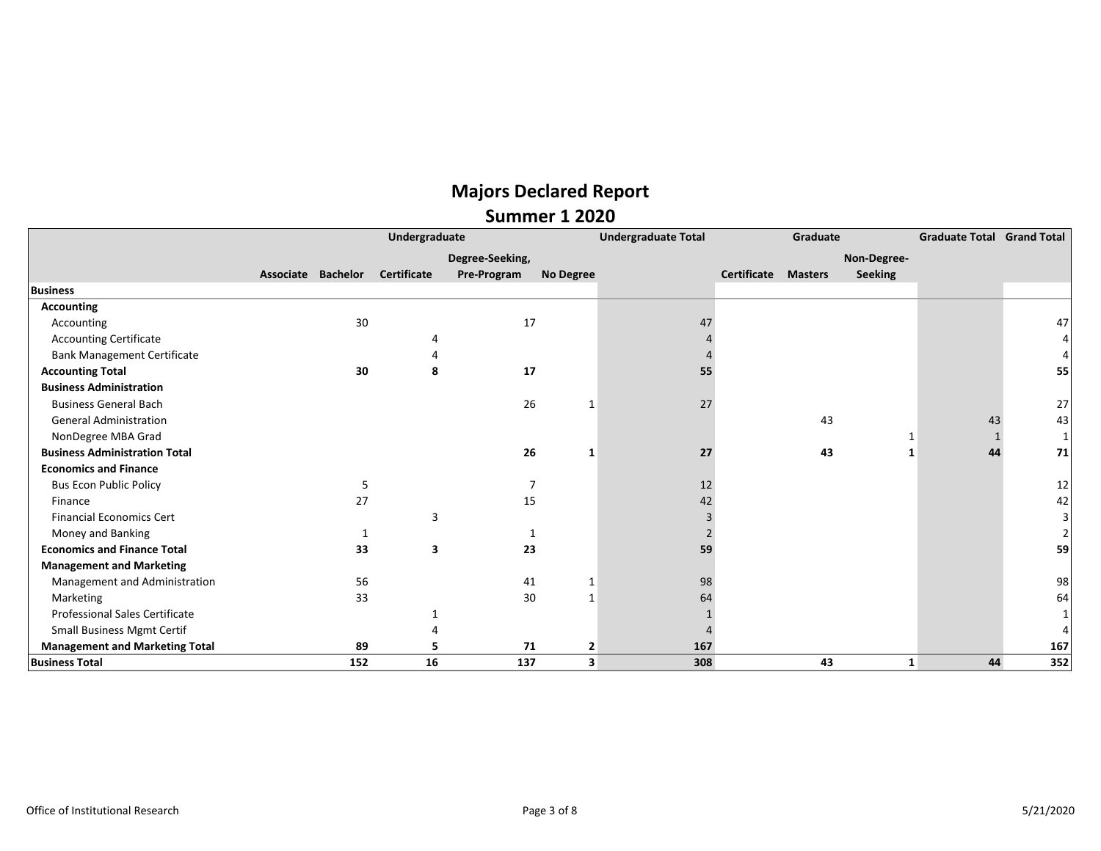|                                       | Undergraduate      |     |                    |                 |                         | <b>Undergraduate Total</b> |             | Graduate       | <b>Graduate Total</b> | <b>Grand Total</b> |     |
|---------------------------------------|--------------------|-----|--------------------|-----------------|-------------------------|----------------------------|-------------|----------------|-----------------------|--------------------|-----|
|                                       |                    |     |                    | Degree-Seeking, |                         |                            |             |                | Non-Degree-           |                    |     |
|                                       | Associate Bachelor |     | <b>Certificate</b> | Pre-Program     | <b>No Degree</b>        |                            | Certificate | <b>Masters</b> | <b>Seeking</b>        |                    |     |
| <b>Business</b>                       |                    |     |                    |                 |                         |                            |             |                |                       |                    |     |
| <b>Accounting</b>                     |                    |     |                    |                 |                         |                            |             |                |                       |                    |     |
| Accounting                            |                    | 30  |                    | 17              |                         | 47                         |             |                |                       |                    | 47  |
| <b>Accounting Certificate</b>         |                    |     |                    |                 |                         |                            |             |                |                       |                    |     |
| <b>Bank Management Certificate</b>    |                    |     |                    |                 |                         |                            |             |                |                       |                    |     |
| <b>Accounting Total</b>               |                    | 30  | 8                  | 17              |                         | 55                         |             |                |                       |                    | 55  |
| <b>Business Administration</b>        |                    |     |                    |                 |                         |                            |             |                |                       |                    |     |
| <b>Business General Bach</b>          |                    |     |                    | 26              |                         | 27                         |             |                |                       |                    | 27  |
| <b>General Administration</b>         |                    |     |                    |                 |                         |                            |             | 43             |                       | 43                 | 43  |
| NonDegree MBA Grad                    |                    |     |                    |                 |                         |                            |             |                |                       |                    |     |
| <b>Business Administration Total</b>  |                    |     |                    | 26              | 1                       | 27                         |             | 43             |                       | 44                 | 71  |
| <b>Economics and Finance</b>          |                    |     |                    |                 |                         |                            |             |                |                       |                    |     |
| <b>Bus Econ Public Policy</b>         |                    | 5   |                    |                 |                         | 12                         |             |                |                       |                    | 12  |
| Finance                               |                    | 27  |                    | 15              |                         | 42                         |             |                |                       |                    | 42  |
| <b>Financial Economics Cert</b>       |                    |     | 3                  |                 |                         | 3                          |             |                |                       |                    |     |
| Money and Banking                     |                    |     |                    |                 |                         |                            |             |                |                       |                    |     |
| <b>Economics and Finance Total</b>    |                    | 33  | 3                  | 23              |                         | 59                         |             |                |                       |                    | 59  |
| <b>Management and Marketing</b>       |                    |     |                    |                 |                         |                            |             |                |                       |                    |     |
| Management and Administration         |                    | 56  |                    | 41              |                         | 98                         |             |                |                       |                    | 98  |
| Marketing                             |                    | 33  |                    | 30              | $\mathbf 1$             | 64                         |             |                |                       |                    | 64  |
| <b>Professional Sales Certificate</b> |                    |     |                    |                 |                         |                            |             |                |                       |                    |     |
| <b>Small Business Mgmt Certif</b>     |                    |     |                    |                 |                         |                            |             |                |                       |                    |     |
| <b>Management and Marketing Total</b> |                    | 89  |                    | 71              | $\overline{\mathbf{2}}$ | 167                        |             |                |                       |                    | 167 |
| <b>Business Total</b>                 |                    | 152 | 16                 | 137             | 3                       | 308                        |             | 43             | 1                     | 44                 | 352 |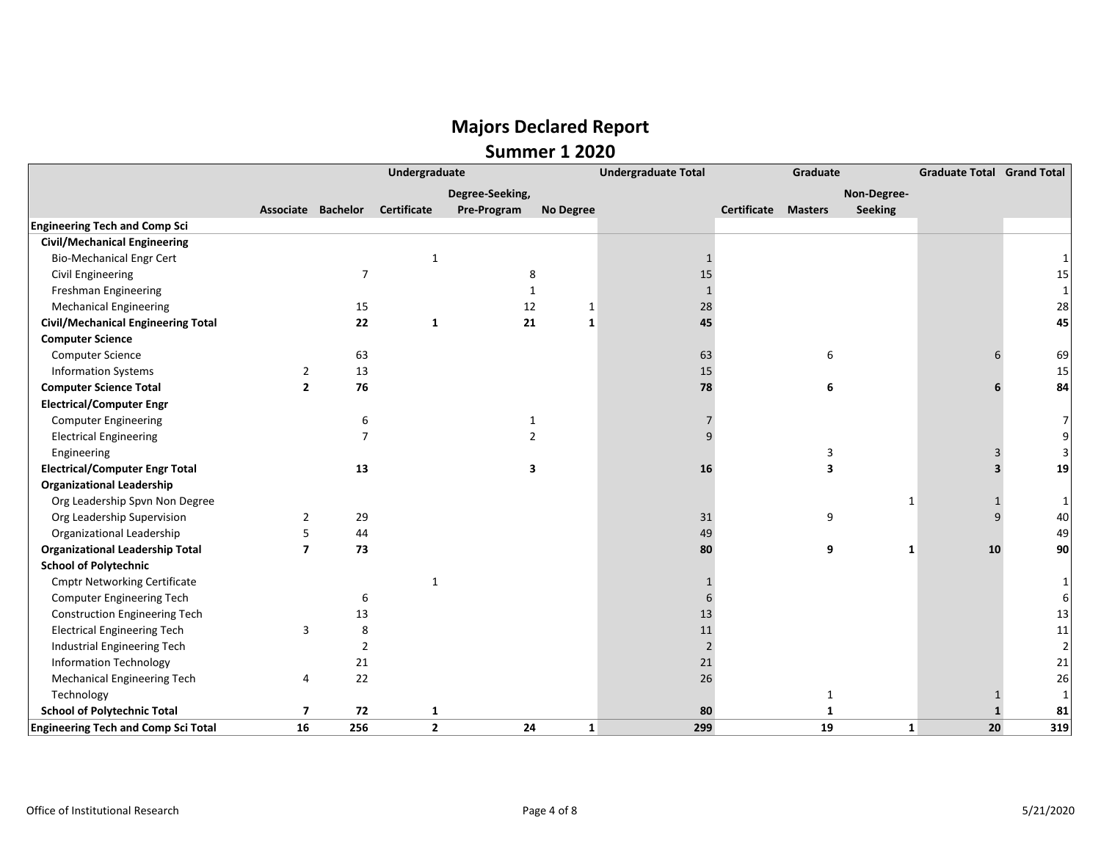|                                            | Undergraduate           |                |                    |                 |                  | <b>Undergraduate Total</b> |                            | Graduate       | <b>Graduate Total Grand Total</b> |                    |
|--------------------------------------------|-------------------------|----------------|--------------------|-----------------|------------------|----------------------------|----------------------------|----------------|-----------------------------------|--------------------|
|                                            |                         |                |                    | Degree-Seeking, |                  |                            |                            | Non-Degree-    |                                   |                    |
|                                            | Associate Bachelor      |                | <b>Certificate</b> | Pre-Program     | <b>No Degree</b> |                            | <b>Certificate Masters</b> | <b>Seeking</b> |                                   |                    |
| <b>Engineering Tech and Comp Sci</b>       |                         |                |                    |                 |                  |                            |                            |                |                                   |                    |
| <b>Civil/Mechanical Engineering</b>        |                         |                |                    |                 |                  |                            |                            |                |                                   |                    |
| <b>Bio-Mechanical Engr Cert</b>            |                         |                | $\mathbf{1}$       |                 |                  | 1                          |                            |                |                                   |                    |
| Civil Engineering                          |                         | $\overline{7}$ |                    | 8               |                  | 15                         |                            |                |                                   | 15                 |
| Freshman Engineering                       |                         |                |                    | $\mathbf{1}$    |                  |                            |                            |                |                                   | $\mathbf{1}$       |
| <b>Mechanical Engineering</b>              |                         | 15             |                    | 12              | 1                | 28                         |                            |                |                                   | 28                 |
| <b>Civil/Mechanical Engineering Total</b>  |                         | 22             | $\mathbf{1}$       | 21              | $\mathbf{1}$     | 45                         |                            |                |                                   | 45                 |
| <b>Computer Science</b>                    |                         |                |                    |                 |                  |                            |                            |                |                                   |                    |
| <b>Computer Science</b>                    |                         | 63             |                    |                 |                  | 63                         |                            | 6              |                                   | 69                 |
| <b>Information Systems</b>                 | 2                       | 13             |                    |                 |                  | 15                         |                            |                |                                   | 15                 |
| <b>Computer Science Total</b>              | $\overline{2}$          | 76             |                    |                 |                  | 78                         |                            | 6              |                                   | 84                 |
| <b>Electrical/Computer Engr</b>            |                         |                |                    |                 |                  |                            |                            |                |                                   |                    |
| <b>Computer Engineering</b>                |                         | 6              |                    | $\mathbf 1$     |                  |                            |                            |                |                                   |                    |
| <b>Electrical Engineering</b>              |                         | $\overline{7}$ |                    | $\overline{2}$  |                  |                            |                            |                |                                   |                    |
| Engineering                                |                         |                |                    |                 |                  |                            |                            | 3              |                                   |                    |
| <b>Electrical/Computer Engr Total</b>      |                         | 13             |                    | 3               |                  | 16                         |                            | 3              |                                   | 19                 |
| <b>Organizational Leadership</b>           |                         |                |                    |                 |                  |                            |                            |                |                                   |                    |
| Org Leadership Spvn Non Degree             |                         |                |                    |                 |                  |                            |                            |                | 1                                 | 1                  |
| Org Leadership Supervision                 | 2                       | 29             |                    |                 |                  | 31                         |                            | 9              |                                   | 40<br>$\mathsf{q}$ |
| Organizational Leadership                  | 5                       | 44             |                    |                 |                  | 49                         |                            |                |                                   | 49                 |
| <b>Organizational Leadership Total</b>     | $\overline{7}$          | 73             |                    |                 |                  | 80                         |                            | 9              | 10<br>1                           | 90                 |
| <b>School of Polytechnic</b>               |                         |                |                    |                 |                  |                            |                            |                |                                   |                    |
| <b>Cmptr Networking Certificate</b>        |                         |                | 1                  |                 |                  |                            |                            |                |                                   |                    |
| <b>Computer Engineering Tech</b>           |                         | 6              |                    |                 |                  |                            |                            |                |                                   |                    |
| <b>Construction Engineering Tech</b>       |                         | 13             |                    |                 |                  | 13                         |                            |                |                                   | 13                 |
| <b>Electrical Engineering Tech</b>         | 3                       | 8              |                    |                 |                  | 11                         |                            |                |                                   | 11                 |
| Industrial Engineering Tech                |                         | $\overline{2}$ |                    |                 |                  | $\overline{2}$             |                            |                |                                   | $\overline{2}$     |
| <b>Information Technology</b>              |                         | 21             |                    |                 |                  | 21                         |                            |                |                                   | 21                 |
| Mechanical Engineering Tech                | 4                       | 22             |                    |                 |                  | 26                         |                            |                |                                   | 26                 |
| Technology                                 |                         |                |                    |                 |                  |                            |                            | 1              |                                   |                    |
| <b>School of Polytechnic Total</b>         | $\overline{\mathbf{z}}$ | 72             | 1                  |                 |                  | 80                         |                            | $\mathbf{1}$   |                                   | 81                 |
| <b>Engineering Tech and Comp Sci Total</b> | 16                      | 256            | $\mathbf{2}$       | 24              | $\mathbf{1}$     | 299                        |                            | 19             | 20<br>$\mathbf{1}$                | 319                |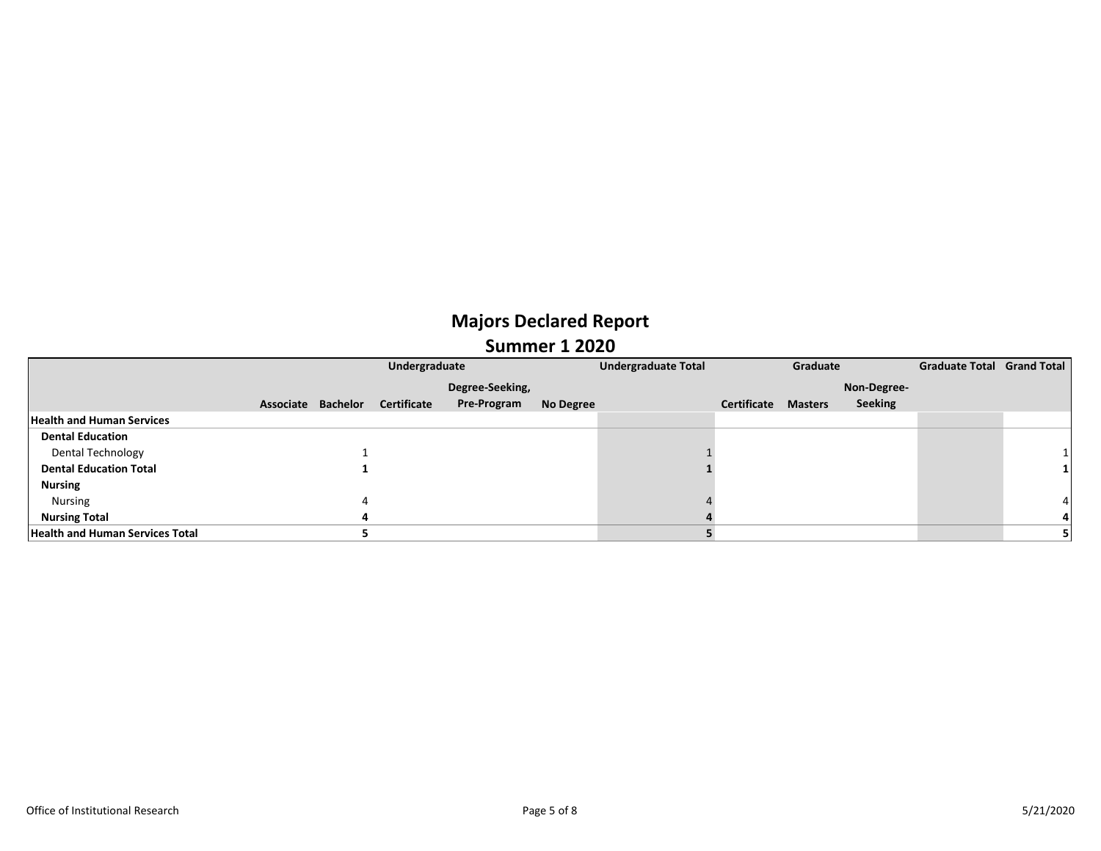|                                        |                    | <b>Undergraduate Total</b> |                    | Graduate  |  | Graduate Total Grand Total |                |                |  |  |
|----------------------------------------|--------------------|----------------------------|--------------------|-----------|--|----------------------------|----------------|----------------|--|--|
|                                        |                    |                            | Degree-Seeking,    |           |  |                            |                | Non-Degree-    |  |  |
|                                        | Associate Bachelor | Certificate                | <b>Pre-Program</b> | No Degree |  | Certificate                | <b>Masters</b> | <b>Seeking</b> |  |  |
| <b>Health and Human Services</b>       |                    |                            |                    |           |  |                            |                |                |  |  |
| <b>Dental Education</b>                |                    |                            |                    |           |  |                            |                |                |  |  |
| Dental Technology                      |                    |                            |                    |           |  |                            |                |                |  |  |
| <b>Dental Education Total</b>          |                    |                            |                    |           |  |                            |                |                |  |  |
| <b>Nursing</b>                         |                    |                            |                    |           |  |                            |                |                |  |  |
| Nursing                                |                    |                            |                    |           |  |                            |                |                |  |  |
| <b>Nursing Total</b>                   |                    |                            |                    |           |  |                            |                |                |  |  |
| <b>Health and Human Services Total</b> |                    |                            |                    |           |  |                            |                |                |  |  |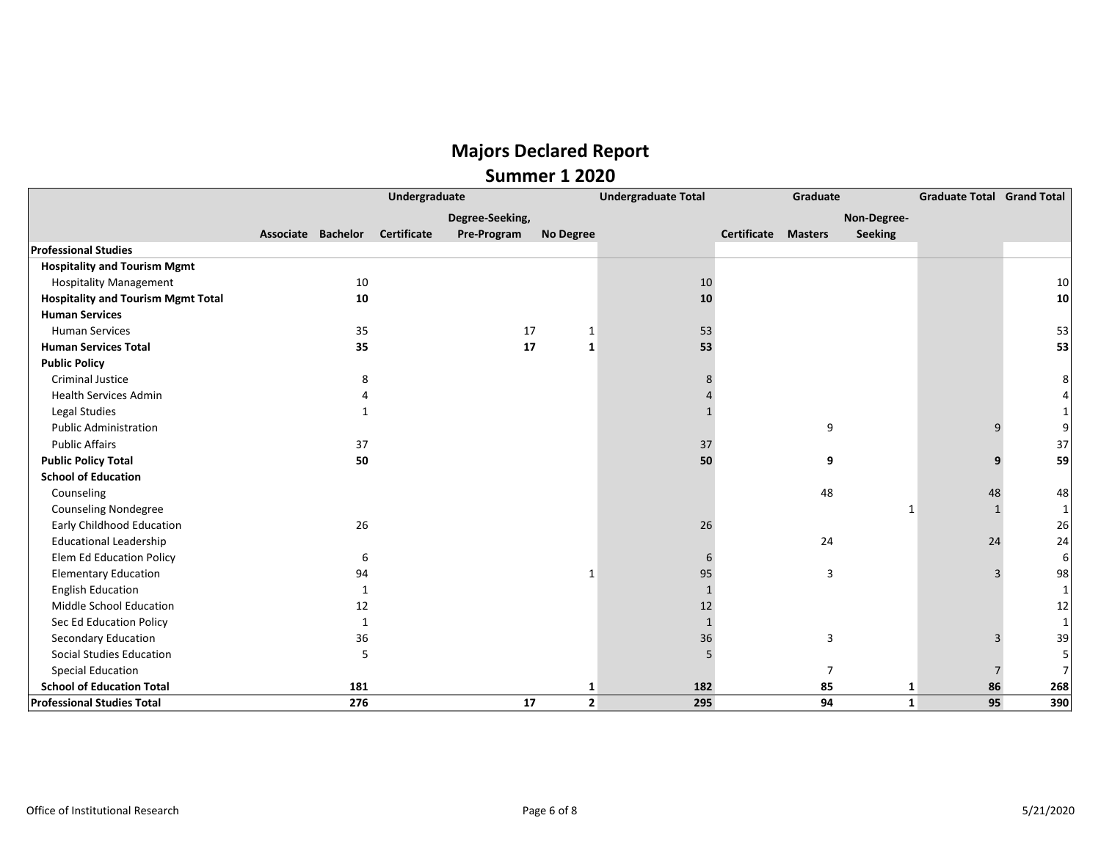|                                           |                    | Undergraduate      | <b>Undergraduate Total</b> |                | Graduate | <b>Graduate Total Grand Total</b> |                |                |    |              |
|-------------------------------------------|--------------------|--------------------|----------------------------|----------------|----------|-----------------------------------|----------------|----------------|----|--------------|
|                                           |                    |                    | Degree-Seeking,            |                |          |                                   |                | Non-Degree-    |    |              |
|                                           | Associate Bachelor | <b>Certificate</b> | Pre-Program                | No Degree      |          | Certificate                       | <b>Masters</b> | <b>Seeking</b> |    |              |
| <b>Professional Studies</b>               |                    |                    |                            |                |          |                                   |                |                |    |              |
| <b>Hospitality and Tourism Mgmt</b>       |                    |                    |                            |                |          |                                   |                |                |    |              |
| <b>Hospitality Management</b>             |                    | 10                 |                            |                | 10       |                                   |                |                |    | 10           |
| <b>Hospitality and Tourism Mgmt Total</b> |                    | 10                 |                            |                | 10       |                                   |                |                |    | 10           |
| <b>Human Services</b>                     |                    |                    |                            |                |          |                                   |                |                |    |              |
| <b>Human Services</b>                     |                    | 35                 | 17                         | 1              | 53       |                                   |                |                |    | 53           |
| <b>Human Services Total</b>               |                    | 35                 | 17                         | 1              | 53       |                                   |                |                |    | 53           |
| <b>Public Policy</b>                      |                    |                    |                            |                |          |                                   |                |                |    |              |
| <b>Criminal Justice</b>                   |                    | 8                  |                            |                |          |                                   |                |                |    | 8            |
| <b>Health Services Admin</b>              |                    |                    |                            |                |          |                                   |                |                |    |              |
| Legal Studies                             |                    |                    |                            |                |          |                                   |                |                |    |              |
| <b>Public Administration</b>              |                    |                    |                            |                |          |                                   | 9              |                |    | 9            |
| <b>Public Affairs</b>                     |                    | 37                 |                            |                | 37       |                                   |                |                |    | 37           |
| <b>Public Policy Total</b>                |                    | 50                 |                            |                | 50       |                                   | 9              |                | 9  | 59           |
| <b>School of Education</b>                |                    |                    |                            |                |          |                                   |                |                |    |              |
| Counseling                                |                    |                    |                            |                |          |                                   | 48             |                | 48 | 48           |
| <b>Counseling Nondegree</b>               |                    |                    |                            |                |          |                                   |                | 1              |    | 1            |
| <b>Early Childhood Education</b>          |                    | 26                 |                            |                | 26       |                                   |                |                |    | 26           |
| <b>Educational Leadership</b>             |                    |                    |                            |                |          |                                   | 24             |                | 24 | 24           |
| <b>Elem Ed Education Policy</b>           |                    | 6                  |                            |                |          |                                   |                |                |    | 6            |
| <b>Elementary Education</b>               |                    | 94                 |                            | $\mathbf{1}$   | 95       |                                   | 3              |                | 3  | 98           |
| <b>English Education</b>                  |                    | 1                  |                            |                |          |                                   |                |                |    | $\mathbf{1}$ |
| Middle School Education                   |                    | 12                 |                            |                | 12       |                                   |                |                |    | 12           |
| Sec Ed Education Policy                   |                    | 1                  |                            |                |          |                                   |                |                |    | $\mathbf{1}$ |
| Secondary Education                       |                    | 36                 |                            |                | 36       |                                   | 3              |                |    | 39           |
| <b>Social Studies Education</b>           |                    | 5                  |                            |                |          |                                   |                |                |    | 5            |
| <b>Special Education</b>                  |                    |                    |                            |                |          |                                   | $\overline{7}$ |                |    | 7            |
| <b>School of Education Total</b>          |                    | 181                |                            | 1              | 182      |                                   | 85             | 1              | 86 | 268          |
| <b>Professional Studies Total</b>         |                    | 276                | 17                         | $\overline{2}$ | 295      |                                   | 94             | $\mathbf{1}$   | 95 | 390          |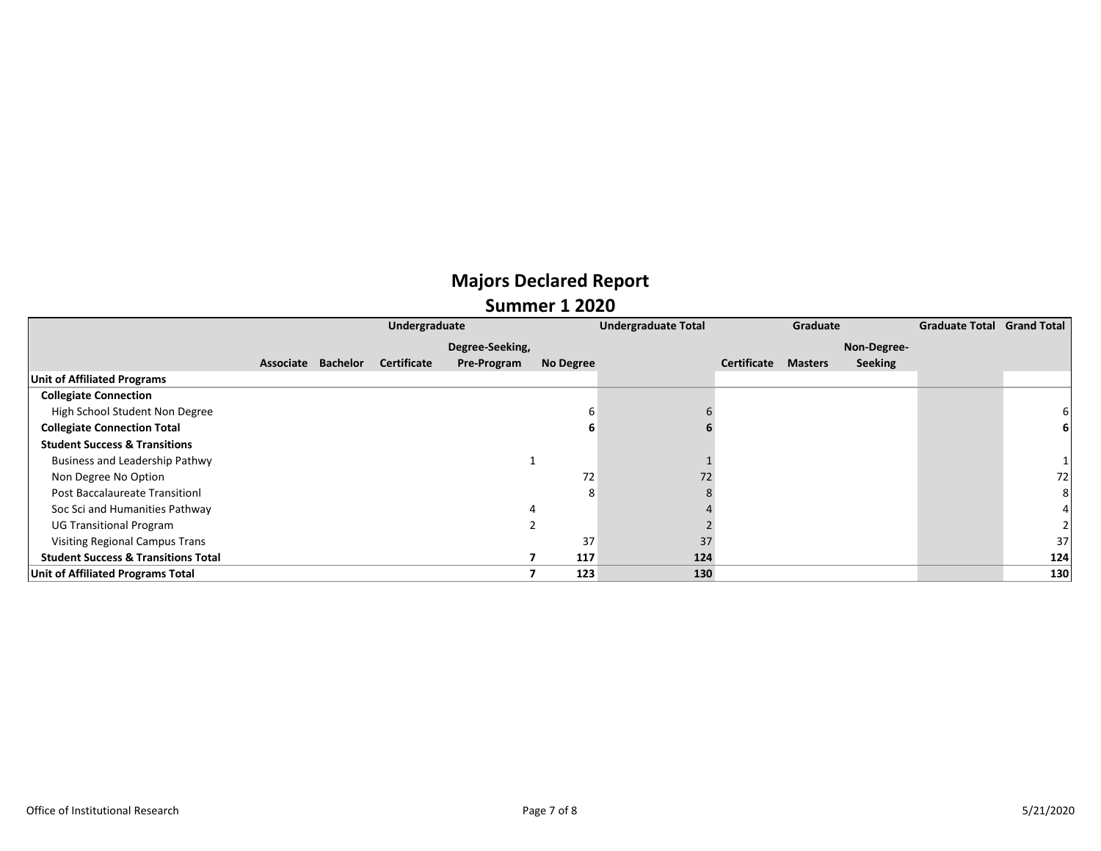|                                                | Undergraduate |                    |                    |                    |           | <b>Undergraduate Total</b> | Graduate    |                |                | <b>Graduate Total Grand Total</b> |     |
|------------------------------------------------|---------------|--------------------|--------------------|--------------------|-----------|----------------------------|-------------|----------------|----------------|-----------------------------------|-----|
|                                                |               |                    |                    | Degree-Seeking,    |           |                            |             |                | Non-Degree-    |                                   |     |
|                                                |               | Associate Bachelor | <b>Certificate</b> | <b>Pre-Program</b> | No Degree |                            | Certificate | <b>Masters</b> | <b>Seeking</b> |                                   |     |
| Unit of Affiliated Programs                    |               |                    |                    |                    |           |                            |             |                |                |                                   |     |
| <b>Collegiate Connection</b>                   |               |                    |                    |                    |           |                            |             |                |                |                                   |     |
| High School Student Non Degree                 |               |                    |                    |                    |           |                            |             |                |                |                                   |     |
| <b>Collegiate Connection Total</b>             |               |                    |                    |                    |           |                            |             |                |                |                                   |     |
| <b>Student Success &amp; Transitions</b>       |               |                    |                    |                    |           |                            |             |                |                |                                   |     |
| Business and Leadership Pathwy                 |               |                    |                    |                    |           |                            |             |                |                |                                   |     |
| Non Degree No Option                           |               |                    |                    |                    | 72        | 72                         |             |                |                |                                   | 72  |
| Post Baccalaureate Transitionl                 |               |                    |                    |                    | 8         |                            |             |                |                |                                   |     |
| Soc Sci and Humanities Pathway                 |               |                    |                    |                    | 4         |                            |             |                |                |                                   |     |
| <b>UG Transitional Program</b>                 |               |                    |                    |                    |           |                            |             |                |                |                                   |     |
| <b>Visiting Regional Campus Trans</b>          |               |                    |                    |                    | 37        | 37                         |             |                |                |                                   | 37  |
| <b>Student Success &amp; Transitions Total</b> |               |                    |                    |                    | 117       | 124                        |             |                |                |                                   | 124 |
| <b>Unit of Affiliated Programs Total</b>       |               |                    |                    |                    | 123       | 130                        |             |                |                |                                   | 130 |